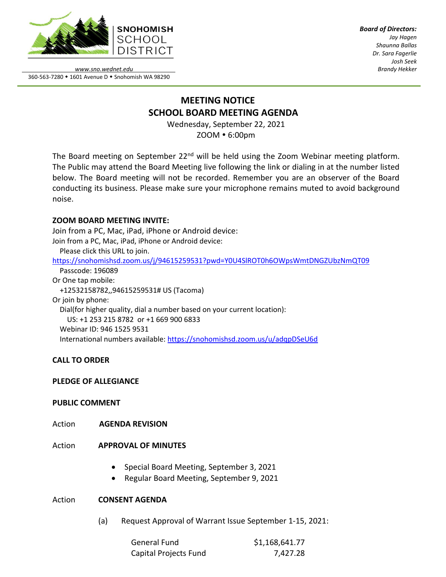

*Board of Directors: Jay Hagen Shaunna Ballas Dr. Sara Fagerlie Josh Seek Brandy Hekker*

*www.sno.wednet.edu* 360-563-7280 • 1601 Avenue D • Snohomish WA 98290

# **MEETING NOTICE SCHOOL BOARD MEETING AGENDA**

Wednesday, September 22, 2021 ZOOM 6:00pm

The Board meeting on September 22<sup>nd</sup> will be held using the Zoom Webinar meeting platform. The Public may attend the Board Meeting live following the link or dialing in at the number listed below. The Board meeting will not be recorded. Remember you are an observer of the Board conducting its business. Please make sure your microphone remains muted to avoid background noise.

# **ZOOM BOARD MEETING INVITE:**

Join from a PC, Mac, iPad, iPhone or Android device: Join from a PC, Mac, iPad, iPhone or Android device:

Please click this URL to join.

<https://snohomishsd.zoom.us/j/94615259531?pwd=Y0U4SlROT0h6OWpsWmtDNGZUbzNmQT09>

 Passcode: 196089 Or One tap mobile: +12532158782,,94615259531# US (Tacoma) Or join by phone: Dial(for higher quality, dial a number based on your current location): US: +1 253 215 8782 or +1 669 900 6833 Webinar ID: 946 1525 9531 International numbers available:<https://snohomishsd.zoom.us/u/adqpDSeU6d>

# **CALL TO ORDER**

## **PLEDGE OF ALLEGIANCE**

## **PUBLIC COMMENT**

- Action **AGENDA REVISION**
- Action **APPROVAL OF MINUTES**
	- Special Board Meeting, September 3, 2021
	- Regular Board Meeting, September 9, 2021

## Action **CONSENT AGENDA**

(a) Request Approval of Warrant Issue September 1-15, 2021:

| General Fund          | \$1,168,641.77 |
|-----------------------|----------------|
| Capital Projects Fund | 7,427.28       |